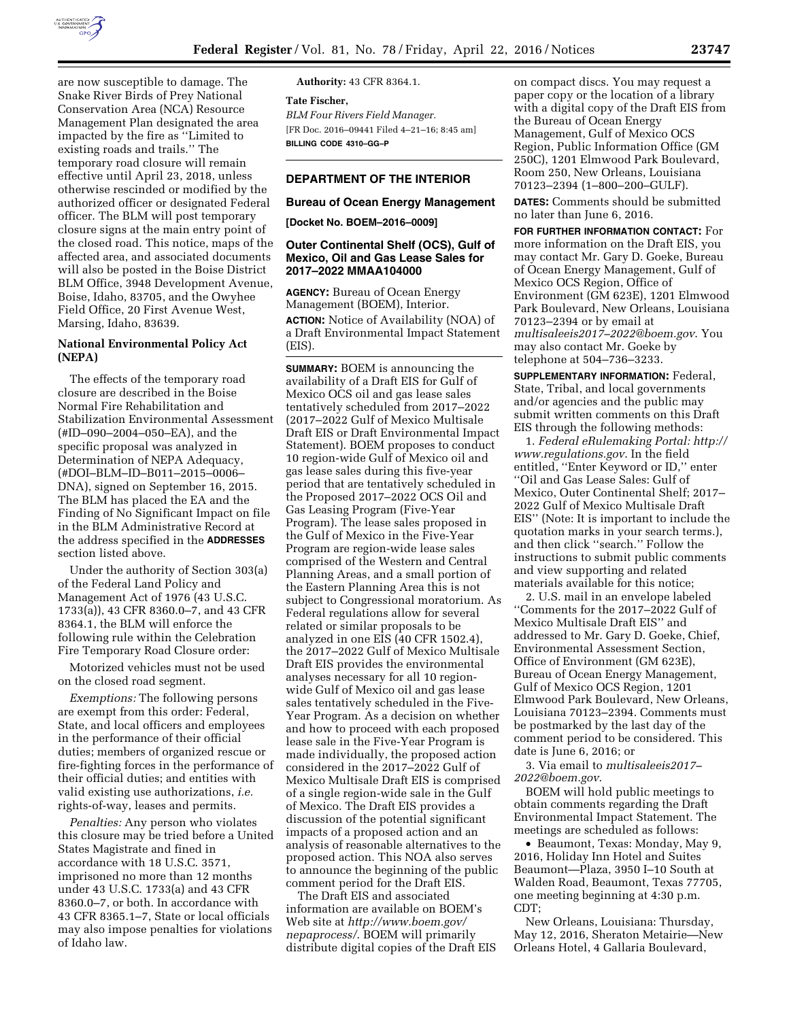

are now susceptible to damage. The Snake River Birds of Prey National Conservation Area (NCA) Resource Management Plan designated the area impacted by the fire as ''Limited to existing roads and trails.'' The temporary road closure will remain effective until April 23, 2018, unless otherwise rescinded or modified by the authorized officer or designated Federal officer. The BLM will post temporary closure signs at the main entry point of the closed road. This notice, maps of the affected area, and associated documents will also be posted in the Boise District BLM Office, 3948 Development Avenue, Boise, Idaho, 83705, and the Owyhee Field Office, 20 First Avenue West, Marsing, Idaho, 83639.

# **National Environmental Policy Act (NEPA)**

The effects of the temporary road closure are described in the Boise Normal Fire Rehabilitation and Stabilization Environmental Assessment (#ID–090–2004–050–EA), and the specific proposal was analyzed in Determination of NEPA Adequacy, (#DOI–BLM–ID–B011–2015–0006– DNA), signed on September 16, 2015. The BLM has placed the EA and the Finding of No Significant Impact on file in the BLM Administrative Record at the address specified in the **ADDRESSES** section listed above.

Under the authority of Section 303(a) of the Federal Land Policy and Management Act of 1976 (43 U.S.C. 1733(a)), 43 CFR 8360.0–7, and 43 CFR 8364.1, the BLM will enforce the following rule within the Celebration Fire Temporary Road Closure order:

Motorized vehicles must not be used on the closed road segment.

*Exemptions:* The following persons are exempt from this order: Federal, State, and local officers and employees in the performance of their official duties; members of organized rescue or fire-fighting forces in the performance of their official duties; and entities with valid existing use authorizations, *i.e.*  rights-of-way, leases and permits.

*Penalties:* Any person who violates this closure may be tried before a United States Magistrate and fined in accordance with 18 U.S.C. 3571, imprisoned no more than 12 months under 43 U.S.C. 1733(a) and 43 CFR 8360.0–7, or both. In accordance with 43 CFR 8365.1–7, State or local officials may also impose penalties for violations of Idaho law.

**Authority:** 43 CFR 8364.1.

**Tate Fischer,**  *BLM Four Rivers Field Manager.*  [FR Doc. 2016–09441 Filed 4–21–16; 8:45 am] **BILLING CODE 4310–GG–P** 

## **DEPARTMENT OF THE INTERIOR**

### **Bureau of Ocean Energy Management**

#### **[Docket No. BOEM–2016–0009]**

#### **Outer Continental Shelf (OCS), Gulf of Mexico, Oil and Gas Lease Sales for 2017–2022 MMAA104000**

**AGENCY:** Bureau of Ocean Energy Management (BOEM), Interior. **ACTION:** Notice of Availability (NOA) of a Draft Environmental Impact Statement (EIS).

**SUMMARY:** BOEM is announcing the availability of a Draft EIS for Gulf of Mexico OCS oil and gas lease sales tentatively scheduled from 2017–2022 (2017–2022 Gulf of Mexico Multisale Draft EIS or Draft Environmental Impact Statement). BOEM proposes to conduct 10 region-wide Gulf of Mexico oil and gas lease sales during this five-year period that are tentatively scheduled in the Proposed 2017–2022 OCS Oil and Gas Leasing Program (Five-Year Program). The lease sales proposed in the Gulf of Mexico in the Five-Year Program are region-wide lease sales comprised of the Western and Central Planning Areas, and a small portion of the Eastern Planning Area this is not subject to Congressional moratorium. As Federal regulations allow for several related or similar proposals to be analyzed in one EIS (40 CFR 1502.4), the 2017–2022 Gulf of Mexico Multisale Draft EIS provides the environmental analyses necessary for all 10 regionwide Gulf of Mexico oil and gas lease sales tentatively scheduled in the Five-Year Program. As a decision on whether and how to proceed with each proposed lease sale in the Five-Year Program is made individually, the proposed action considered in the 2017–2022 Gulf of Mexico Multisale Draft EIS is comprised of a single region-wide sale in the Gulf of Mexico. The Draft EIS provides a discussion of the potential significant impacts of a proposed action and an analysis of reasonable alternatives to the proposed action. This NOA also serves to announce the beginning of the public comment period for the Draft EIS.

The Draft EIS and associated information are available on BOEM's Web site at *[http://www.boem.gov/](http://www.boem.gov/nepaprocess/) [nepaprocess/](http://www.boem.gov/nepaprocess/)*. BOEM will primarily distribute digital copies of the Draft EIS

on compact discs. You may request a paper copy or the location of a library with a digital copy of the Draft EIS from the Bureau of Ocean Energy Management, Gulf of Mexico OCS Region, Public Information Office (GM 250C), 1201 Elmwood Park Boulevard, Room 250, New Orleans, Louisiana 70123–2394 (1–800–200–GULF).

**DATES:** Comments should be submitted no later than June 6, 2016.

**FOR FURTHER INFORMATION CONTACT:** For more information on the Draft EIS, you may contact Mr. Gary D. Goeke, Bureau of Ocean Energy Management, Gulf of Mexico OCS Region, Office of Environment (GM 623E), 1201 Elmwood Park Boulevard, New Orleans, Louisiana 70123–2394 or by email at *[multisaleeis2017–2022@boem.gov](mailto:multisaleeis2017-2022@boem.gov)*. You may also contact Mr. Goeke by telephone at 504–736–3233.

**SUPPLEMENTARY INFORMATION:** Federal, State, Tribal, and local governments and/or agencies and the public may submit written comments on this Draft EIS through the following methods:

1. *Federal eRulemaking Portal: [http://](http://www.regulations.gov)  [www.regulations.gov](http://www.regulations.gov)*. In the field entitled, ''Enter Keyword or ID,'' enter ''Oil and Gas Lease Sales: Gulf of Mexico, Outer Continental Shelf; 2017– 2022 Gulf of Mexico Multisale Draft EIS'' (Note: It is important to include the quotation marks in your search terms.), and then click ''search.'' Follow the instructions to submit public comments and view supporting and related materials available for this notice;

2. U.S. mail in an envelope labeled ''Comments for the 2017–2022 Gulf of Mexico Multisale Draft EIS'' and addressed to Mr. Gary D. Goeke, Chief, Environmental Assessment Section, Office of Environment (GM 623E), Bureau of Ocean Energy Management, Gulf of Mexico OCS Region, 1201 Elmwood Park Boulevard, New Orleans, Louisiana 70123–2394. Comments must be postmarked by the last day of the comment period to be considered. This date is June 6, 2016; or

3. Via email to *[multisaleeis2017–](mailto:multisaleeis2017-2022@boem.gov)  [2022@boem.gov](mailto:multisaleeis2017-2022@boem.gov)*.

BOEM will hold public meetings to obtain comments regarding the Draft Environmental Impact Statement. The meetings are scheduled as follows:

• Beaumont, Texas: Monday, May 9, 2016, Holiday Inn Hotel and Suites Beaumont—Plaza, 3950 I–10 South at Walden Road, Beaumont, Texas 77705, one meeting beginning at 4:30 p.m. CDT;

New Orleans, Louisiana: Thursday, May 12, 2016, Sheraton Metairie—New Orleans Hotel, 4 Gallaria Boulevard,